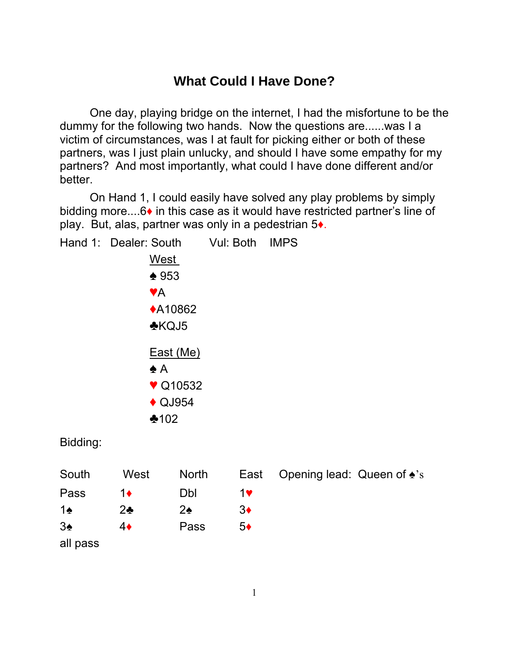## **What Could I Have Done?**

 One day, playing bridge on the internet, I had the misfortune to be the dummy for the following two hands. Now the questions are......was I a victim of circumstances, was I at fault for picking either or both of these partners, was I just plain unlucky, and should I have some empathy for my partners? And most importantly, what could I have done different and/or better.

 On Hand 1, I could easily have solved any play problems by simply bidding more....6♦ in this case as it would have restricted partner's line of play. But, alas, partner was only in a pedestrian 5♦.

Hand 1: Dealer: South Vul: Both IMPS West  $\triangle$  953 **VA** ◆A10862  $KQJ5$  East (Me)  $\triangle$  A  $\blacktriangledown$  Q10532  $\triangle$  QJ954  $*102$ Bidding:

| South         | West         | North |    | East Opening lead: Queen of $\triangle$ 's |
|---------------|--------------|-------|----|--------------------------------------------|
| Pass          | $1\bullet$   | Dbl   | 1♥ |                                            |
| $1\spadesuit$ | $2\clubsuit$ | 2♠    | 3♦ |                                            |
| $3\spadesuit$ | 4♦           | Pass  | 5♦ |                                            |
| all pass      |              |       |    |                                            |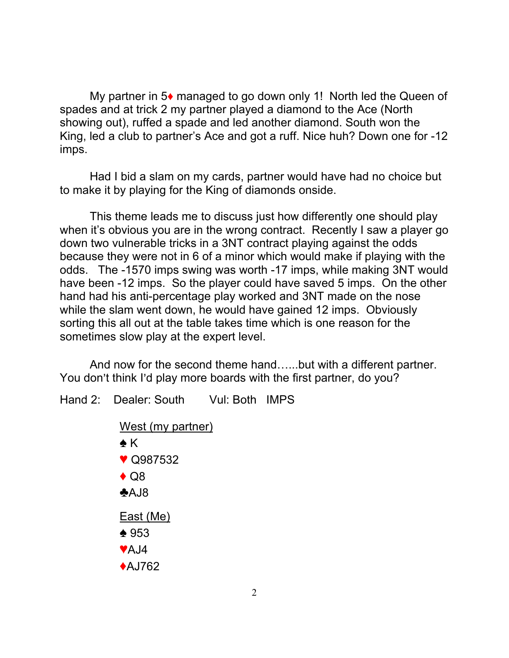My partner in 5♦ managed to go down only 1! North led the Queen of spades and at trick 2 my partner played a diamond to the Ace (North showing out), ruffed a spade and led another diamond. South won the King, led a club to partner's Ace and got a ruff. Nice huh? Down one for -12 imps.

 Had I bid a slam on my cards, partner would have had no choice but to make it by playing for the King of diamonds onside.

 This theme leads me to discuss just how differently one should play when it's obvious you are in the wrong contract. Recently I saw a player go down two vulnerable tricks in a 3NT contract playing against the odds because they were not in 6 of a minor which would make if playing with the odds. The -1570 imps swing was worth -17 imps, while making 3NT would have been -12 imps. So the player could have saved 5 imps. On the other hand had his anti-percentage play worked and 3NT made on the nose while the slam went down, he would have gained 12 imps. Obviously sorting this all out at the table takes time which is one reason for the sometimes slow play at the expert level.

 And now for the second theme hand…...but with a different partner. You don't think I'd play more boards with the first partner, do you?

Hand 2: Dealer: South Vul: Both IMPS

West (my partner)

 $\triangle K$  $\blacktriangledown$  Q987532  $\triangle$  Q8  $AJ8$  East (Me)  $\triangle$  953  $\blacktriangleright$ A.J4  $A$ J762